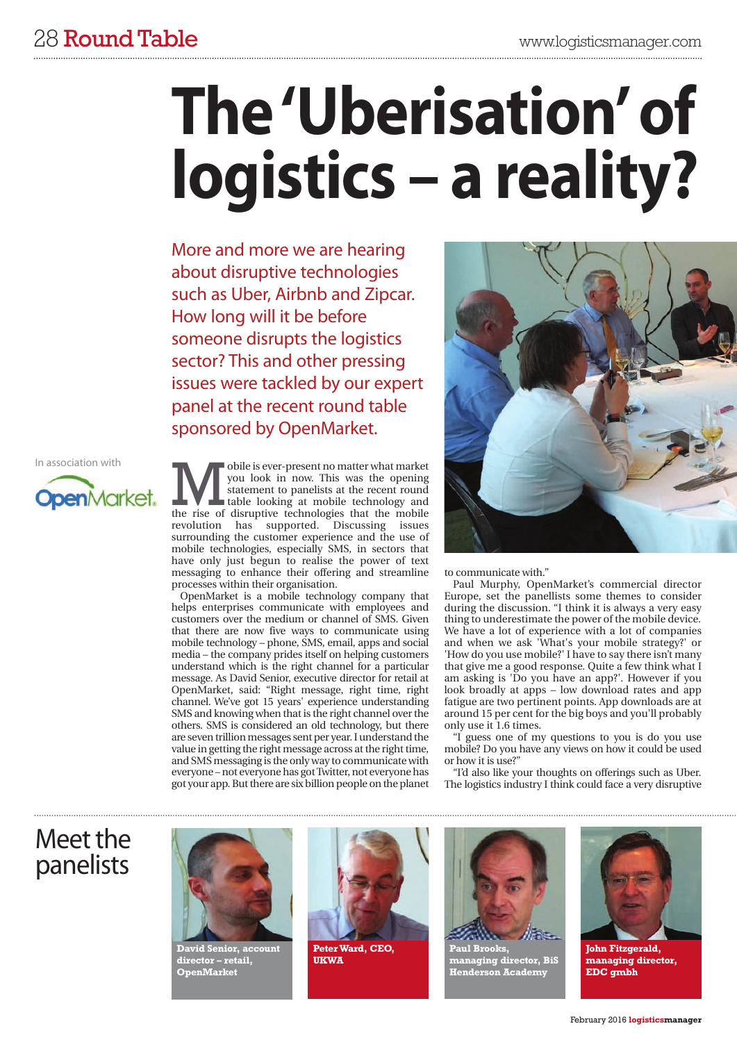# **The'Uberisation' of logistics – a reality?**

More and more we are hearing about disruptive technologies such as Uber, Airbnb and Zipcar. How long will it be before someone disrupts the logistics sector? This and other pressing issues were tackled by our expert panel at the recent round table sponsored by OpenMarket.

In association with



**The US All Statement Solution** is ever-present no matter what market you look in now. This was the opening statement to panelists at the recent round the rise of disruptive technologies that the mobile you look in now. This was the opening statement to panelists at the recent round table looking at mobile technology and revolution has supported. Discussing issues surrounding the customer experience and the use of mobile technologies, especially SMS, in sectors that have only just begun to realise the power of text messaging to enhance their offering and streamline processes within their organisation.

OpenMarket is a mobile technology company that helps enterprises communicate with employees and customers over the medium or channel of SMS. Given that there are now five ways to communicate using mobile technology – phone, SMS, email, apps and social media – the company prides itself on helping customers understand which is the right channel for a particular message. As David Senior, executive director for retail at OpenMarket, said: "Right message, right time, right channel. We've got 15 years' experience understanding SMS and knowing when that is the right channel over the others. SMS is considered an old technology, but there are seven trillion messages sent per year. I understand the value in getting the right message across at the right time, and SMS messaging is the only way to communicate with everyone – not everyone has got Twitter, not everyone has got your app. But there are six billion people on the planet



to communicate with."

Paul Murphy, OpenMarket's commercial director Europe, set the panellists some themes to consider during the discussion. "I think it is always a very easy thing to underestimate the power of the mobile device. We have a lot of experience with a lot of companies and when we ask 'What's your mobile strategy?' or 'How do you use mobile?' I have to say there isn't many that give me a good response. Quite a few think what I am asking is 'Do you have an app?'. However if you look broadly at apps – low download rates and app fatigue are two pertinent points. App downloads are at around 15 per cent for the big boys and you'll probably only use it 1.6 times.

"I guess one of my questions to you is do you use mobile? Do you have any views on how it could be used or how it is use?"

"I'd also like your thoughts on offerings such as Uber. The logistics industry I think could face a very disruptive

## Meet the panelists



**David Senior, account director – retail, OpenMarket**



**Peter Ward, CEO, UKWA**



**Paul Brooks, managing director, BiS Henderson Academy**



**John Fitzgerald, managing director, EDC gmbh**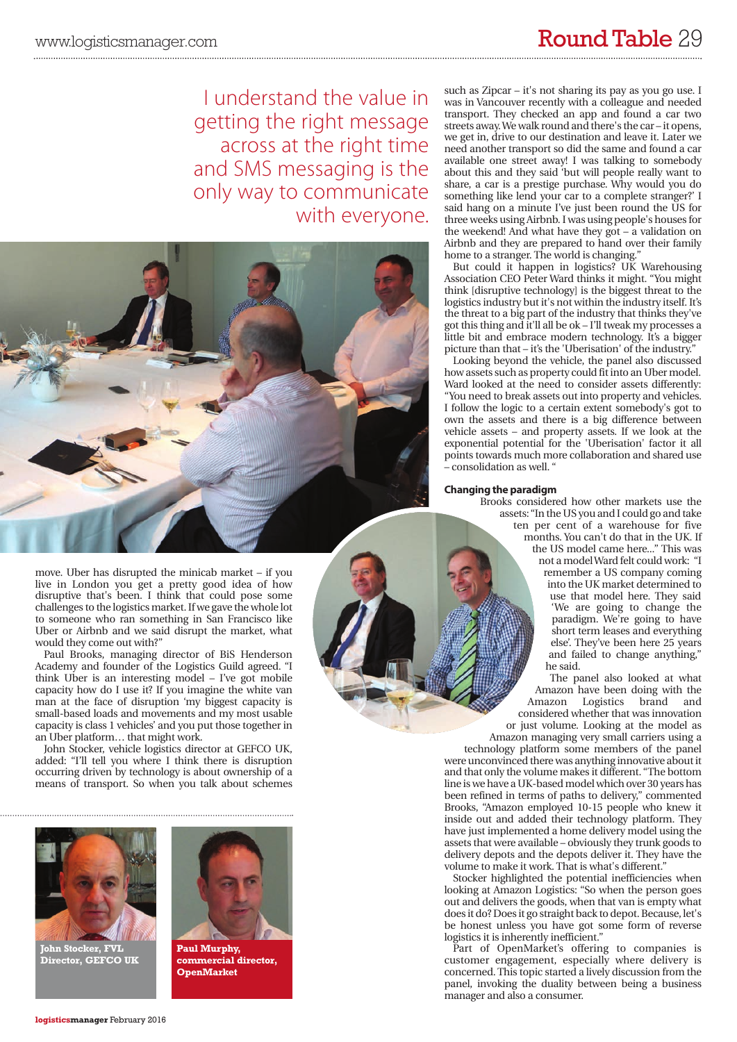I understand the value in getting the right message across at the right time and SMS messaging is the only way to communicate with everyone.



move. Uber has disrupted the minicab market – if you live in London you get a pretty good idea of how disruptive that's been. I think that could pose some challenges to the logistics market. If we gave the whole lot to someone who ran something in San Francisco like Uber or Airbnb and we said disrupt the market, what would they come out with?"

Paul Brooks, managing director of BiS Henderson Academy and founder of the Logistics Guild agreed. "I think Uber is an interesting model – I've got mobile capacity how do I use it? If you imagine the white van man at the face of disruption 'my biggest capacity is small-based loads and movements and my most usable capacity is class 1 vehicles' and you put those together in an Uber platform… that might work.

John Stocker, vehicle logistics director at GEFCO UK, added: "I'll tell you where I think there is disruption occurring driven by technology is about ownership of a means of transport. So when you talk about schemes



**John Stocker, FVL Director, GEFCO UK**



**Paul Murphy, commercial director, OpenMarket**

such as Zipcar – it's not sharing its pay as you go use. I was in Vancouver recently with a colleague and needed transport. They checked an app and found a car two streets away.We walk round and there's the car – it opens, we get in, drive to our destination and leave it. Later we need another transport so did the same and found a car available one street away! I was talking to somebody about this and they said 'but will people really want to share, a car is a prestige purchase. Why would you do something like lend your car to a complete stranger?' I said hang on a minute I've just been round the US for three weeks using Airbnb. I was using people's houses for the weekend! And what have they got – a validation on Airbnb and they are prepared to hand over their family home to a stranger. The world is changing.

But could it happen in logistics? UK Warehousing Association CEO Peter Ward thinks it might. "You might think [disruptive technology] is the biggest threat to the logistics industry but it's not within the industry itself. It's the threat to a big part of the industry that thinks they've got this thing and it'll all be ok – I'll tweak my processes a little bit and embrace modern technology. It's a bigger picture than that – it's the 'Uberisation' of the industry."

Looking beyond the vehicle, the panel also discussed how assets such as property could fit into an Uber model. Ward looked at the need to consider assets differently: "You need to break assets out into property and vehicles. I follow the logic to a certain extent somebody's got to own the assets and there is a big difference between vehicle assets – and property assets. If we look at the exponential potential for the 'Uberisation' factor it all points towards much more collaboration and shared use – consolidation as well. "

#### **Changing the paradigm**

Brooks considered how other markets use the assets: "In the US you and I could go and take ten per cent of a warehouse for five months. You can't do that in the UK. If the US model came here..." This was not a modelWard felt could work: "I remember a US company coming into the UK market determined to use that model here. They said 'We are going to change the paradigm. We're going to have short term leases and everything else'. They've been here 25 years and failed to change anything," he said.

> The panel also looked at what Amazon have been doing with the<br>Amazon Logistics brand and Logistics considered whether that was innovation or just volume. Looking at the model as

Amazon managing very small carriers using a technology platform some members of the panel were unconvinced there was anything innovative about it and that only the volume makes it different. "The bottom line is we have a UK-based model which over 30 years has been refined in terms of paths to delivery," commented Brooks, "Amazon employed 10-15 people who knew it inside out and added their technology platform. They have just implemented a home delivery model using the assets that were available – obviously they trunk goods to delivery depots and the depots deliver it. They have the volume to make it work. That is what's different.'

Stocker highlighted the potential inefficiencies when looking at Amazon Logistics: "So when the person goes out and delivers the goods, when that van is empty what does it do? Does it go straight back to depot. Because, let's be honest unless you have got some form of reverse logistics it is inherently inefficient."

Part of OpenMarket's offering to companies is customer engagement, especially where delivery is concerned. This topic started a lively discussion from the panel, invoking the duality between being a business manager and also a consumer.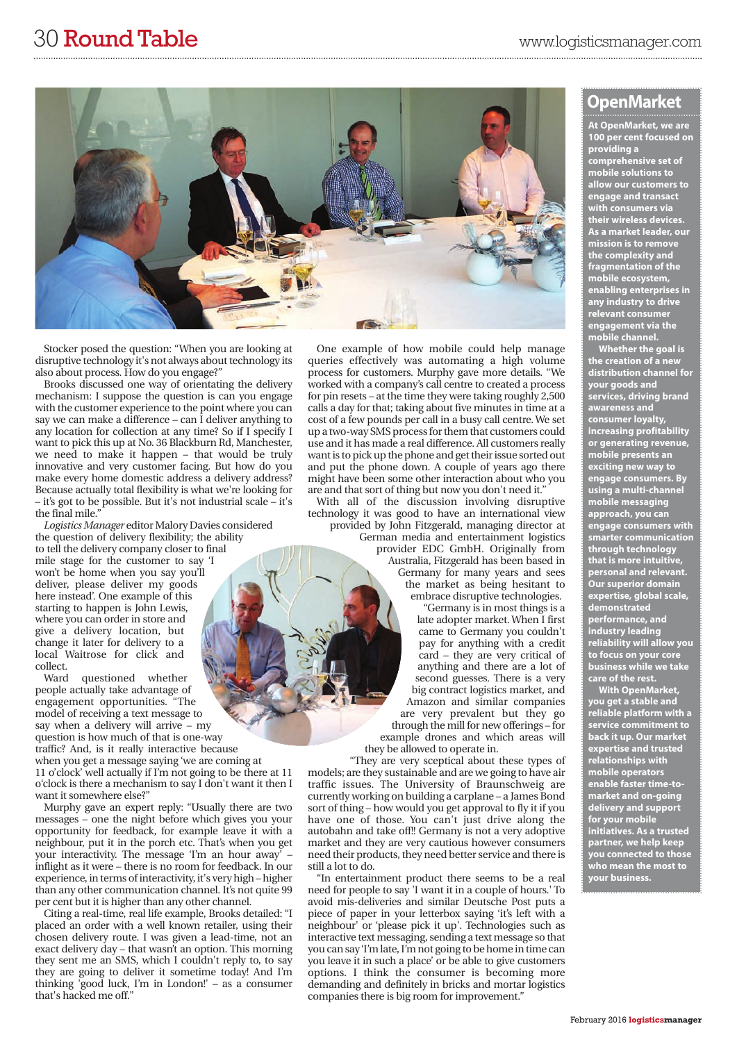

Stocker posed the question: "When you are looking at disruptive technology it's not always about technology its also about process. How do you engage?"

Brooks discussed one way of orientating the delivery mechanism: I suppose the question is can you engage with the customer experience to the point where you can say we can make a difference – can  $\overline{I}$  deliver anything to any location for collection at any time? So if I specify I want to pick this up at No. 36 Blackburn Rd, Manchester, we need to make it happen – that would be truly innovative and very customer facing. But how do you make every home domestic address a delivery address? Because actually total flexibility is what we're looking for – it's got to be possible. But it's not industrial scale – it's the final mile."

*Logistics Manager* editor Malory Davies considered the question of delivery flexibility; the ability to tell the delivery company closer to final mile stage for the customer to say 'I won't be home when you say you'll deliver, please deliver my goods here instead'. One example of this starting to happen is John Lewis, where you can order in store and give a delivery location, but change it later for delivery to a local Waitrose for click and collect.

Ward questioned whether people actually take advantage of engagement opportunities. "The model of receiving a text message to say when a delivery will arrive – my question is how much of that is one-way traffic? And, is it really interactive because when you get a message saying 'we are coming at 11 o'clock' well actually if I'm not going to be there at 11 o'clock is there a mechanism to say I don't want it then I

want it somewhere else?" Murphy gave an expert reply: "Usually there are two messages – one the night before which gives you your opportunity for feedback, for example leave it with a neighbour, put it in the porch etc. That's when you get your interactivity. The message 'I'm an hour away' – inflight as it were – there is no room for feedback. In our experience, in terms of interactivity, it's very high – higher than any other communication channel. It's not quite 99 per cent but it is higher than any other channel.

Citing a real-time, real life example, Brooks detailed: "I placed an order with a well known retailer, using their chosen delivery route. I was given a lead-time, not an exact delivery day – that wasn't an option. This morning they sent me an SMS, which I couldn't reply to, to say they are going to deliver it sometime today! And I'm thinking 'good luck, I'm in London!' – as a consumer that's hacked me off."

One example of how mobile could help manage queries effectively was automating a high volume process for customers. Murphy gave more details. "We worked with a company's call centre to created a process for pin resets – at the time they were taking roughly 2,500 calls a day for that; taking about five minutes in time at a cost of a few pounds per call in a busy call centre. We set up a two-way SMS process for them that customers could use and it has made a real difference. All customers really want is to pick up the phone and get their issue sorted out and put the phone down. A couple of years ago there might have been some other interaction about who you are and that sort of thing but now you don't need it.'

With all of the discussion involving disruptive technology it was good to have an international view provided by John Fitzgerald, managing director at German media and entertainment logistics provider EDC GmbH. Originally from Australia, Fitzgerald has been based in Germany for many years and sees the market as being hesitant to embrace disruptive technologies.

"Germany is in most things is a late adopter market. When I first came to Germany you couldn't pay for anything with a credit card – they are very critical of anything and there are a lot of second guesses. There is a very big contract logistics market, and Amazon and similar companies are very prevalent but they go through the mill for new offerings – for example drones and which areas will

they be allowed to operate in.

"They are very sceptical about these types of models; are they sustainable and are we going to have air traffic issues. The University of Braunschweig are currently working on building a carplane – a James Bond sort of thing – how would you get approval to fly it if you have one of those. You can't just drive along the autobahn and take off!! Germany is not a very adoptive market and they are very cautious however consumers need their products, they need better service and there is still a lot to do.

"In entertainment product there seems to be a real need for people to say 'I want it in a couple of hours.' To avoid mis-deliveries and similar Deutsche Post puts a piece of paper in your letterbox saying 'it's left with a neighbour' or 'please pick it up'. Technologies such as interactive text messaging, sending a text message so that you can say'I'm late, I'm not going to be home in time can you leave it in such a place' or be able to give customers options. I think the consumer is becoming more demanding and definitely in bricks and mortar logistics companies there is big room for improvement."

### **OpenMarket**

**At OpenMarket, we are 100 per cent focused on providing a comprehensive set of mobile solutions to allow our customers to engage and transact with consumers via their wireless devices. As a market leader, our mission is to remove the complexity and fragmentation of the mobile ecosystem, enabling enterprises in any industry to drive relevant consumer engagement via the mobile channel.**

**Whether the goal is the creation of a new distribution channel for your goods and services, driving brand awareness and consumer loyalty, increasing profitability or generating revenue, mobile presents an exciting new way to engage consumers. By using a multi-channel mobile messaging approach, you can engage consumers with smarter communication through technology that is more intuitive, personal and relevant. Our superior domain expertise, global scale, demonstrated performance, and industry leading reliability will allow you to focus on your core business while we take care of the rest.**

**With OpenMarket, you get a stable and reliable platform with a service commitment to back it up. Our market expertise and trusted relationships with mobile operators enable faster time-tomarket and on-going delivery and support for your mobile initiatives. As a trusted partner, we help keep you connected to those who mean the most to your business.**